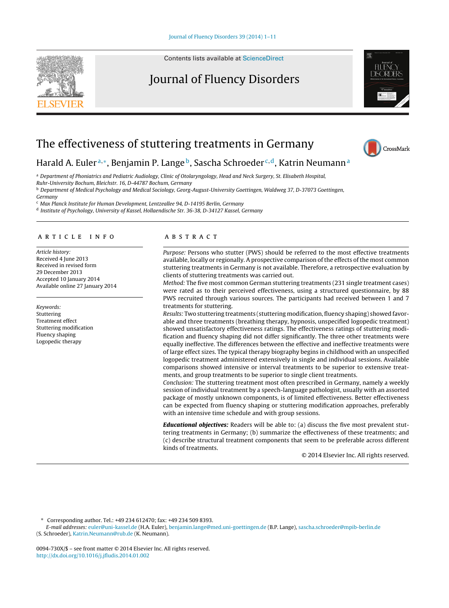Contents lists available at [ScienceDirect](http://www.sciencedirect.com/science/journal/0094730X)

# Journal of Fluency Disorders

∗ Corresponding author. Tel.: +49 234 612470; fax: +49 234 509 8393.

E-mail addresses: [euler@uni-kassel.de](mailto:euler@uni-kassel.de) (H.A. Euler), [benjamin.lange@med.uni-goettingen.de](mailto:benjamin.lange@med.uni-goettingen.de) (B.P. Lange), [sascha.schroeder@mpib-berlin.de](mailto:sascha.schroeder@mpib-berlin.de) (S. Schroeder), [Katrin.Neumann@rub.de](mailto:Katrin.Neumann@rub.de) (K. Neumann).

0094-730X/\$ – see front matter © 2014 Elsevier Inc. All rights reserved. [http://dx.doi.org/10.1016/j.jfludis.2014.01.002](dx.doi.org/10.1016/j.jfludis.2014.01.002)

# The effectiveness of stuttering treatments in Germany

# Harald A. Euler<sup>a,\*</sup>, Benjamin P. Lange<sup>b</sup>, Sascha Schroeder<sup>c,d</sup>, Katrin Neumann<sup>a</sup>

<sup>a</sup> Department of Phoniatrics and Pediatric Audiology, Clinic of Otolaryngology, Head and Neck Surgery, St. Elisabeth Hospital,

Ruhr-University Bochum, Bleichstr. 16, D-44787 Bochum, Germany

<sup>b</sup> Department of Medical Psychology and Medical Sociology, Georg-August-University Goettingen, Waldweg 37, D-37073 Goettingen, Germany

<sup>c</sup> Max Planck Institute for Human Development, Lentzeallee 94, D-14195 Berlin, Germany

<sup>d</sup> Institute of Psychology, University of Kassel, Hollaendische Str. 36-38, D-34127 Kassel, Germany

#### a r t i c l e i n f o

Article history: Received 4 June 2013 Received in revised form 29 December 2013 Accepted 10 January 2014 Available online 27 January 2014

Keywords: Stuttering Treatment effect Stuttering modification Fluency shaping Logopedic therapy

#### A B S T R A C T

Purpose: Persons who stutter (PWS) should be referred to the most effective treatments available, locally or regionally. A prospective comparison of the effects of the most common stuttering treatments in Germany is not available. Therefore, a retrospective evaluation by clients of stuttering treatments was carried out.

Method: The five most common German stuttering treatments (231 single treatment cases) were rated as to their perceived effectiveness, using a structured questionnaire, by 88 PWS recruited through various sources. The participants had received between 1 and 7 treatments for stuttering.

Results: Two stuttering treatments (stuttering modification, fluency shaping) showed favorable and three treatments (breathing therapy, hypnosis, unspecified logopedic treatment) showed unsatisfactory effectiveness ratings. The effectiveness ratings of stuttering modification and fluency shaping did not differ significantly. The three other treatments were equally ineffective. The differences between the effective and ineffective treatments were of large effect sizes. The typical therapy biography begins in childhood with an unspecified logopedic treatment administered extensively in single and individual sessions. Available comparisons showed intensive or interval treatments to be superior to extensive treatments, and group treatments to be superior to single client treatments.

Conclusion: The stuttering treatment most often prescribed in Germany, namely a weekly session of individual treatment by a speech-language pathologist, usually with an assorted package of mostly unknown components, is of limited effectiveness. Better effectiveness can be expected from fluency shaping or stuttering modification approaches, preferably with an intensive time schedule and with group sessions.

**Educational objectives:** Readers will be able to: (a) discuss the five most prevalent stuttering treatments in Germany; (b) summarize the effectiveness of these treatments; and (c) describe structural treatment components that seem to be preferable across different kinds of treatments.

© 2014 Elsevier Inc. All rights reserved.





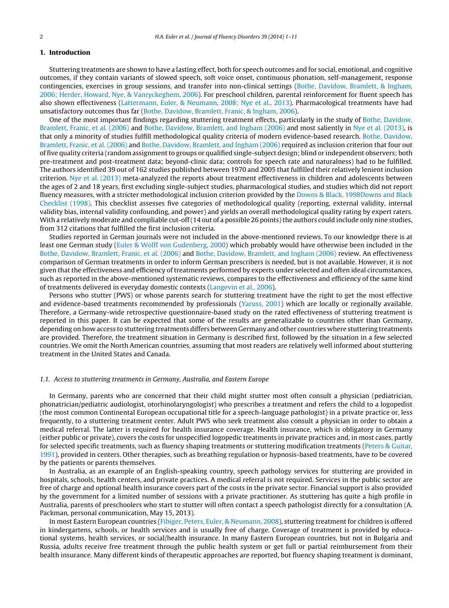# **1. Introduction**

Stuttering treatments are shown to have a lasting effect, both for speech outcomes and for social, emotional, and cognitive outcomes, if they contain variants of slowed speech, soft voice onset, continuous phonation, self-management, response contingencies, exercises in group sessions, and transfer into non-clinical settings ([Bothe,](#page-10-0) [Davidow,](#page-10-0) [Bramlett,](#page-10-0) [&](#page-10-0) [Ingham,](#page-10-0) [2006;](#page-10-0) [Herder,](#page-10-0) [Howard,](#page-10-0) [Nye,](#page-10-0) [&](#page-10-0) [Vanryckeghem,](#page-10-0) [2006\).](#page-10-0) For preschool children, parental reinforcement for fluent speech has also shown effectiveness [\(Lattermann,](#page-10-0) [Euler,](#page-10-0) [&](#page-10-0) [Neumann,](#page-10-0) [2008;](#page-10-0) [Nye](#page-10-0) et [al.,](#page-10-0) [2013\).](#page-10-0) Pharmacological treatments have had unsatisfactory outcomes thus far [\(Bothe,](#page-10-0) [Davidow,](#page-10-0) [Bramlett,](#page-10-0) [Franic,](#page-10-0) [&](#page-10-0) [Ingham,](#page-10-0) [2006\).](#page-10-0)

One of the most important findings regarding stuttering treatment effects, particularly in the study of [Bothe,](#page-10-0) [Davidow,](#page-10-0) [Bramlett,](#page-10-0) [Franic,](#page-10-0) et [al.](#page-10-0) [\(2006\)](#page-10-0) and [Bothe,](#page-10-0) [Davidow,](#page-10-0) Bramlett, [and](#page-10-0) [Ingham](#page-10-0) (2006) and most saliently in [Nye](#page-10-0) et al. [\(2013\),](#page-10-0) is that only a minority of studies fulfill methodological quality criteria of modern evidence-based research. [Bothe,](#page-10-0) [Davidow,](#page-10-0) [Bramlett,](#page-10-0) [Franic,](#page-10-0) et [al.](#page-10-0) [\(2006\)](#page-10-0) and [Bothe,](#page-10-0) [Davidow,](#page-10-0) [Bramlett,](#page-10-0) [and](#page-10-0) [Ingham](#page-10-0) [\(2006\)](#page-10-0) required as inclusion criterion that four out of five quality criteria (random assignmentto groups or qualified single-subject design; blind or independent observers; both pre-treatment and post-treatment data; beyond-clinic data; controls for speech rate and naturalness) had to be fulfilled. The authors identified 39 out of 162 studies published between 1970 and 2005 that fulfilled their relatively lenient inclusion criterion. [Nye](#page-10-0) et [al.](#page-10-0) [\(2013\)](#page-10-0) meta-analyzed the reports about treatment effectiveness in children and adolescents between the ages of 2 and 18 years, first excluding single-subject studies, pharmacological studies, and studies which did not report fluency measures, with a stricter methodological inclusion criterion provided by the [Downs](#page-10-0) [&](#page-10-0) [Black,](#page-10-0) [1998Downs](#page-10-0) [and](#page-10-0) [Black](#page-10-0) [Checklist](#page-10-0) [\(1998\).](#page-10-0) This checklist assesses five categories of methodological quality (reporting, external validity, internal validity bias, internal validity confounding, and power) and yields an overall methodological quality rating by expert raters. With a relatively moderate and compliable cut-off  $(14$  out of a possible 26 points) the authors could include only nine studies, from 312 citations that fulfilled the first inclusion criteria.

Studies reported in German journals were not included in the above-mentioned reviews. To our knowledge there is at least one German study [\(Euler](#page-10-0) [&](#page-10-0) [Wolff](#page-10-0) [von](#page-10-0) [Gudenberg,](#page-10-0) [2000\)](#page-10-0) which probably would have otherwise been included in the [Bothe,](#page-10-0) [Davidow,](#page-10-0) [Bramlett,](#page-10-0) [Franic,](#page-10-0) et [al.](#page-10-0) [\(2006\)](#page-10-0) and [Bothe,](#page-10-0) [Davidow,](#page-10-0) [Bramlett,](#page-10-0) [and](#page-10-0) [Ingham](#page-10-0) [\(2006\)](#page-10-0) review. An effectiveness comparison of German treatments in order to inform German prescribers is needed, but is not available. However, it is not given that the effectiveness and efficiency of treatments performed by experts under selected and often ideal circumstances, such as reported in the above-mentioned systematic reviews, compares to the effectiveness and efficiency of the same kind of treatments delivered in everyday domestic contexts [\(Langevin](#page-10-0) et [al.,](#page-10-0) [2006\).](#page-10-0)

Persons who stutter (PWS) or whose parents search for stuttering treatment have the right to get the most effective and evidence-based treatments recommended by professionals ([Yaruss,](#page-10-0) [2001\)](#page-10-0) which are locally or regionally available. Therefore, a Germany-wide retrospective questionnaire-based study on the rated effectiveness of stuttering treatment is reported in this paper. It can be expected that some of the results are generalizable to countries other than Germany, depending on how access to stuttering treatments differs between Germany and other countries where stuttering treatments are provided. Therefore, the treatment situation in Germany is described first, followed by the situation in a few selected countries. We omit the North American countries, assuming that most readers are relatively well informed about stuttering treatment in the United States and Canada.

#### 1.1. Access to stuttering treatments in Germany, Australia, and Eastern Europe

In Germany, parents who are concerned that their child might stutter most often consult a physician (pediatrician, phonatrician/pediatric audiologist, otorhinolaryngologist) who prescribes a treatment and refers the child to a logopedist (the most common Continental European occupational title for a speech-language pathologist) in a private practice or, less frequently, to a stuttering treatment center. Adult PWS who seek treatment also consult a physician in order to obtain a medical referral. The latter is required for health insurance coverage. Health insurance, which is obligatory in Germany (either public or private), covers the costs for unspecified logopedic treatments in private practices and, in most cases, partly for selected specific treatments, such as fluency shaping treatments or stuttering modification treatments [\(Peters](#page-10-0) [&](#page-10-0) [Guitar,](#page-10-0) [1991\),](#page-10-0) provided in centers. Other therapies, such as breathing regulation or hypnosis-based treatments, have to be covered by the patients or parents themselves.

In Australia, as an example of an English-speaking country, speech pathology services for stuttering are provided in hospitals, schools, health centers, and private practices. A medical referral is not required. Services in the public sector are free of charge and optional health insurance covers part of the costs in the private sector. Financial support is also provided by the government for a limited number of sessions with a private practitioner. As stuttering has quite a high profile in Australia, parents of preschoolers who start to stutter will often contact a speech pathologist directly for a consultation (A. Packman, personal communication, May 15, 2013).

In most Eastern European countries [\(Fibiger,](#page-10-0) [Peters,](#page-10-0) [Euler,](#page-10-0) [&](#page-10-0) [Neumann,](#page-10-0) [2008\),](#page-10-0) stuttering treatment for children is offered in kindergartens, schools, or health services and is usually free of charge. Coverage of treatment is provided by educational systems, health services, or social/health insurance. In many Eastern European countries, but not in Bulgaria and Russia, adults receive free treatment through the public health system or get full or partial reimbursement from their health insurance. Many different kinds of therapeutic approaches are reported, but fluency shaping treatment is dominant,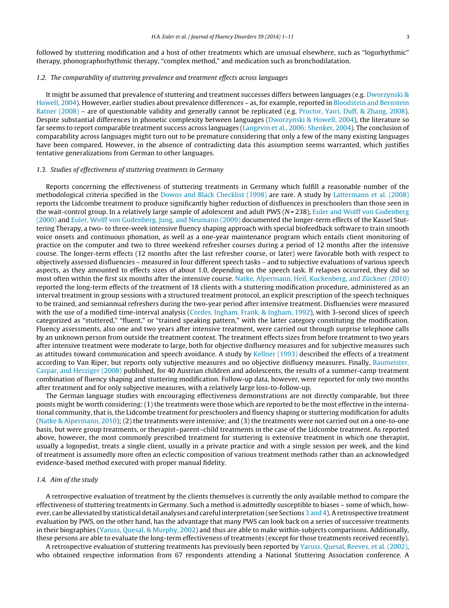followed by stuttering modification and a host of other treatments which are unusual elsewhere, such as "logorhythmic" therapy, phonographorhythmic therapy, "complex method," and medication such as bronchodilatation.

# 1.2. The comparability of stuttering prevalence and treatment effects across languages

It might be assumed that prevalence of stuttering and treatment successes differs between languages (e.g. [Dworzynski](#page-10-0) [&](#page-10-0) [Howell,](#page-10-0) [2004\).](#page-10-0) However, earlier studies about prevalence differences – as, for example, reported in [Bloodstein](#page-10-0) [and](#page-10-0) [Bernstein](#page-10-0) [Ratner](#page-10-0) [\(2008\)](#page-10-0) – are of questionable validity and generally cannot be replicated (e.g. [Proctor,](#page-10-0) [Yairi,](#page-10-0) [Duff,](#page-10-0) [&](#page-10-0) [Zhang,](#page-10-0) [2008\).](#page-10-0) Despite substantial differences in phonetic complexity between languages [\(Dworzynski](#page-10-0) [&](#page-10-0) [Howell,](#page-10-0) [2004\),](#page-10-0) the literature so far seems to report comparable treatment success across languages [\(Langevin](#page-10-0) et [al.,](#page-10-0) [2006;](#page-10-0) [Shenker,](#page-10-0) [2004\).](#page-10-0) The conclusion of comparability across languages might turn out to be premature considering that only a few of the many existing languages have been compared. However, in the absence of contradicting data this assumption seems warranted, which justifies tentative generalizations from German to other languages.

#### 1.3. Studies of effectiveness of stuttering treatments in Germany

Reports concerning the effectiveness of stuttering treatments in Germany which fulfill a reasonable number of the methodological criteria specified in the [Downs](#page-10-0) [and](#page-10-0) [Black](#page-10-0) [Checklist](#page-10-0) [\(1998\)](#page-10-0) are rare. A study by [Lattermann](#page-10-0) et [al.](#page-10-0) [\(2008\)](#page-10-0) reports the Lidcombe treatment to produce significantly higher reduction of disfluences in preschoolers than those seen in the wait-control group. In a relatively large sample of adolescent [and](#page-10-0) adult PWS ( $N=238$ ), [Euler](#page-10-0) and [Wolff](#page-10-0) [von](#page-10-0) [Gudenberg](#page-10-0) [\(2000\)](#page-10-0) and [Euler,](#page-10-0) [Wolff](#page-10-0) [von](#page-10-0) [Gudenberg,](#page-10-0) [Jung,](#page-10-0) [and](#page-10-0) [Neumann](#page-10-0) [\(2009\)](#page-10-0) documented the longer-term effects of the Kassel Stuttering Therapy, a two- to three-week intensive fluency shaping approach with special biofeedback software to train smooth voice onsets and continuous phonation, as well as a one-year maintenance program which entails client monitoring of practice on the computer and two to three weekend refresher courses during a period of 12 months after the intensive course. The longer-term effects (12 months after the last refresher course, or later) were favorable both with respect to objectively assessed disfluencies – measured in four different speech tasks – and to subjective evaluations of various speech aspects, as they amounted to effects sizes of about 1.0, depending on the speech task. If relapses occurred, they did so most often within the first six months after the intensive course. [Natke,](#page-10-0) [Alpermann,](#page-10-0) [Heil,](#page-10-0) [Kuckenberg,](#page-10-0) [and](#page-10-0) [Zückner](#page-10-0) [\(2010\)](#page-10-0) reported the long-term effects of the treatment of 18 clients with a stuttering modification procedure, administered as an interval treatment in group sessions with a structured treatment protocol, an explicit prescription of the speech techniques to be trained, and semiannual refreshers during the two-year period after intensive treatment. Disfluencies were measured with the use of a modified time-interval analysis [\(Cordes,](#page-10-0) [Ingham,](#page-10-0) [Frank,](#page-10-0) [&](#page-10-0) [Ingham,](#page-10-0) [1992\),](#page-10-0) with 3-second slices of speech categorized as "stuttered," "fluent," or "trained speaking pattern," with the latter category constituting the modification. Fluency assessments, also one and two years after intensive treatment, were carried out through surprise telephone calls by an unknown person from outside the treatment context. The treatment effects sizes from before treatment to two years after intensive treatment were moderate to large, both for objective disfluency measures and for subjective measures such as attitudes toward communication and speech avoidance. A study by [Kellner](#page-10-0) [\(1993\)](#page-10-0) described the effects of a treatment according to Van Riper, but reports only subjective measures and no objective disfluency measures. Finally, [Baumeister,](#page-9-0) [Caspar,](#page-9-0) [and](#page-9-0) [Herziger](#page-9-0) [\(2008\)](#page-9-0) published, for 40 Austrian children and adolescents, the results of a summer-camp treatment combination of fluency shaping and stuttering modification. Follow-up data, however, were reported for only two months after treatment and for only subjective measures, with a relatively large loss-to-follow-up.

The German language studies with encouraging effectiveness demonstrations are not directly comparable, but three points might be worth considering: (1) the treatments were those which are reported to be the most effective in the international community, that is, the Lidcombe treatment for preschoolers and fluency shaping or stuttering modification for adults [\(Natke](#page-10-0) [&](#page-10-0) [Alpermann,](#page-10-0) [2010\);](#page-10-0) (2) the treatments were intensive; and (3) the treatments were not carried out on a one-to-one basis, but were group treatments, or therapist–parent–child treatments in the case of the Lidcombe treatment. As reported above, however, the most commonly prescribed treatment for stuttering is extensive treatment in which one therapist, usually a logopedist, treats a single client, usually in a private practice and with a single session per week, and the kind of treatment is assumedly more often an eclectic composition of various treatment methods rather than an acknowledged evidence-based method executed with proper manual fidelity.

#### 1.4. Aim of the study

A retrospective evaluation of treatment by the clients themselves is currently the only available method to compare the effectiveness of stuttering treatments in Germany. Such a method is admittedly susceptible to biases – some of which, how-ever, can be alleviated by statistical detail analyses and careful interpretation (see Sections [3](#page-4-0) [and](#page-4-0) [4\).](#page-4-0) A retrospective treatment evaluation by PWS, on the other hand, has the advantage that many PWS can look back on a series of successive treatments in their biographies [\(Yaruss,](#page-10-0) [Quesal,](#page-10-0) [&](#page-10-0) [Murphy,](#page-10-0) [2002\)](#page-10-0) and thus are able to make within-subjects comparisons. Additionally, these persons are able to evaluate the long-term effectiveness of treatments (except for those treatments received recently).

A retrospective evaluation of stuttering treatments has previously been reported by [Yaruss,](#page-10-0) [Quesal,](#page-10-0) [Reeves,](#page-10-0) et [al.](#page-10-0) [\(2002\),](#page-10-0) who obtained respective information from 67 respondents attending a National Stuttering Association conference. A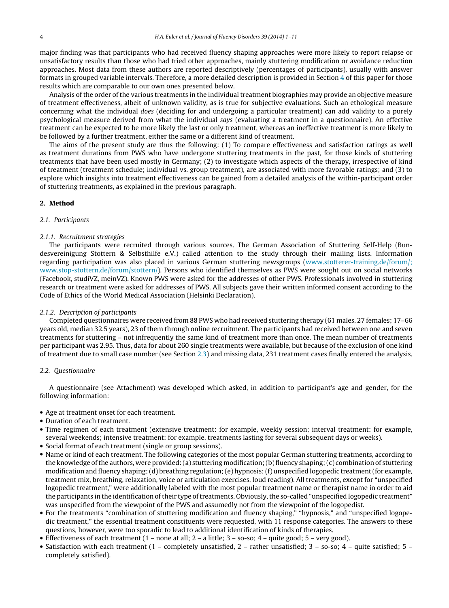major finding was that participants who had received fluency shaping approaches were more likely to report relapse or unsatisfactory results than those who had tried other approaches, mainly stuttering modification or avoidance reduction approaches. Most data from these authors are reported descriptively (percentages of participants), usually with answer formats in grouped variable intervals. Therefore, a more detailed description is provided in Section [4](#page-7-0) of this paper for those results which are comparable to our own ones presented below.

Analysis of the order of the various treatments in the individual treatment biographies may provide an objective measure of treatment effectiveness, albeit of unknown validity, as is true for subjective evaluations. Such an ethological measure concerning what the individual does (deciding for and undergoing a particular treatment) can add validity to a purely psychological measure derived from what the individual says (evaluating a treatment in a questionnaire). An effective treatment can be expected to be more likely the last or only treatment, whereas an ineffective treatment is more likely to be followed by a further treatment, either the same or a different kind of treatment.

The aims of the present study are thus the following: (1) To compare effectiveness and satisfaction ratings as well as treatment durations from PWS who have undergone stuttering treatments in the past, for those kinds of stuttering treatments that have been used mostly in Germany; (2) to investigate which aspects of the therapy, irrespective of kind of treatment (treatment schedule; individual vs. group treatment), are associated with more favorable ratings; and (3) to explore which insights into treatment effectiveness can be gained from a detailed analysis of the within-participant order of stuttering treatments, as explained in the previous paragraph.

# **2. Method**

#### 2.1. Participants

#### 2.1.1. Recruitment strategies

The participants were recruited through various sources. The German Association of Stuttering Self-Help (Bundesvereinigung Stottern & Selbsthilfe e.V.) called attention to the study through their mailing lists. Information regarding participation was also placed in various German stuttering newsgroups ([www.stotterer-training.de/forum/;](http://www.stotterer-training.de/forum/;) [www.stop-stottern.de/forum/stottern/\)](http://www.stop-stottern.de/forum/stottern/). Persons who identified themselves as PWS were sought out on social networks (Facebook, studiVZ, meinVZ). Known PWS were asked for the addresses of other PWS. Professionals involved in stuttering research or treatment were asked for addresses of PWS. All subjects gave their written informed consent according to the Code of Ethics of the World Medical Association (Helsinki Declaration).

### 2.1.2. Description of participants

Completed questionnaires were received from 88 PWS who had received stuttering therapy (61 males, 27 females; 17–66 years old, median 32.5 years), 23 of them through online recruitment. The participants had received between one and seven treatments for stuttering – not infrequently the same kind of treatment more than once. The mean number of treatments per participant was 2.95. Thus, data for about 260 single treatments were available, but because of the exclusion of one kind of treatment due to small case number (see Section [2.3\)](#page-4-0) and missing data, 231 treatment cases finally entered the analysis.

# 2.2. Questionnaire

A questionnaire (see Attachment) was developed which asked, in addition to participant's age and gender, for the following information:

#### • Age at treatment onset for each treatment.

- Duration of each treatment.
- Time regimen of each treatment (extensive treatment: for example, weekly session; interval treatment: for example, several weekends; intensive treatment: for example, treatments lasting for several subsequent days or weeks).
- Social format of each treatment (single or group sessions).
- Name or kind of each treatment. The following categories of the most popular German stuttering treatments, according to the knowledge ofthe authors, were provided:(a) stuttering modification;(b) fluency shaping;(c) combination of stuttering modification and fluency shaping;(d) breathing regulation;(e) hypnosis;(f) unspecified logopedic treatment(for example, treatment mix, breathing, relaxation, voice or articulation exercises, loud reading). All treatments, except for "unspecified logopedic treatment," were additionally labeled with the most popular treatment name or therapist name in order to aid the participants in the identification of their type of treatments. Obviously, the so-called "unspecified logopedic treatment" was unspecified from the viewpoint of the PWS and assumedly not from the viewpoint of the logopedist.
- For the treatments "combination of stuttering modification and fluency shaping," "hypnosis," and "unspecified logopedic treatment," the essential treatment constituents were requested, with 11 response categories. The answers to these questions, however, were too sporadic to lead to additional identification of kinds of therapies.
- Effectiveness of each treatment (1 none at all; 2 a little; 3 so-so; 4 quite good; 5 very good).
- Satisfaction with each treatment  $(1 -$  completely unsatisfied,  $2 -$  rather unsatisfied;  $3 -$  so-so;  $4 -$  quite satisfied;  $5$ completely satisfied).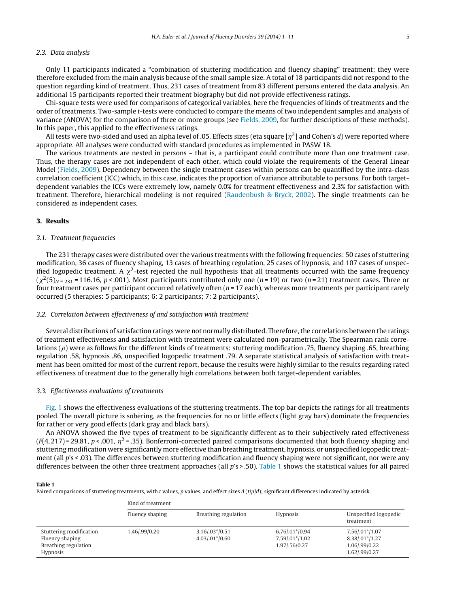# <span id="page-4-0"></span>2.3. Data analysis

Only 11 participants indicated a "combination of stuttering modification and fluency shaping" treatment; they were therefore excluded from the main analysis because of the small sample size. A total of 18 participants did not respond to the question regarding kind of treatment. Thus, 231 cases of treatment from 83 different persons entered the data analysis. An additional 15 participants reported their treatment biography but did not provide effectiveness ratings.

Chi-square tests were used for comparisons of categorical variables, here the frequencies of kinds of treatments and the order of treatments. Two-sample t-tests were conducted to compare the means of two independent samples and analysis of variance (ANOVA) for the comparison of three or more groups (see [Fields,](#page-10-0) [2009,](#page-10-0) for further descriptions of these methods). In this paper, this applied to the effectiveness ratings.

All tests were two-sided and used an alpha level of .05. Effects sizes (eta square [ $\eta^2$ ] and Cohen's  $d$ ) were reported where appropriate. All analyses were conducted with standard procedures as implemented in PASW 18.

The various treatments are nested in persons – that is, a participant could contribute more than one treatment case. Thus, the therapy cases are not independent of each other, which could violate the requirements of the General Linear Model ([Fields,](#page-10-0) [2009\).](#page-10-0) Dependency between the single treatment cases within persons can be quantified by the intra-class correlation coefficient (ICC) which, in this case, indicates the proportion of variance attributable to persons. For both targetdependent variables the ICCs were extremely low, namely 0.0% for treatment effectiveness and 2.3% for satisfaction with treatment. Therefore, hierarchical modeling is not required [\(Raudenbush](#page-10-0) [&](#page-10-0) [Bryck,](#page-10-0) [2002\).](#page-10-0) The single treatments can be considered as independent cases.

# **3. Results**

#### 3.1. Treatment frequencies

The 231 therapy cases were distributed over the various treatments with the following frequencies: 50 cases of stuttering modification, 36 cases of fluency shaping, 13 cases of breathing regulation, 25 cases of hypnosis, and 107 cases of unspecified logopedic treatment. A  $\chi^2$ -test rejected the null hypothesis that all treatments occurred with the same frequency  $(\chi^2(5)_{N=231}$  = 116.16, p < .001). Most participants contributed only one (n=19) or two (n=21) treatment cases. Three or four treatment cases per participant occurred relatively often  $(n = 17$  each), whereas more treatments per participant rarely occurred (5 therapies: 5 participants; 6: 2 participants; 7: 2 participants).

# 3.2. Correlation between effectiveness of and satisfaction with treatment

Several distributions of satisfaction ratings were not normally distributed. Therefore, the correlations between the ratings of treatment effectiveness and satisfaction with treatment were calculated non-parametrically. The Spearman rank correlations ( $\rho$ ) were as follows for the different kinds of treatments: stuttering modification .75, fluency shaping .65, breathing regulation .58, hypnosis .86, unspecified logopedic treatment .79. A separate statistical analysis of satisfaction with treatment has been omitted for most of the current report, because the results were highly similar to the results regarding rated effectiveness of treatment due to the generally high correlations between both target-dependent variables.

#### 3.3. Effectiveness evaluations of treatments

[Fig.](#page-5-0) 1 shows the effectiveness evaluations of the stuttering treatments. The top bar depicts the ratings for all treatments pooled. The overall picture is sobering, as the frequencies for no or little effects (light gray bars) dominate the frequencies for rather or very good effects (dark gray and black bars).

An ANOVA showed the five types of treatment to be significantly different as to their subjectively rated effectiveness  $(F(4, 217)$ = 29.81, p < .001,  $\eta$ <sup>2</sup> = .35). Bonferroni-corrected paired comparisons documented that both fluency shaping and stuttering modification were significantly more effective than breathing treatment, hypnosis, or unspecified logopedic treatment (all p's < .03). The differences between stuttering modification and fluency shaping were not significant, nor were any differences between the other three treatment approaches (all p's > .50). Table 1 shows the statistical values for all paired

#### **Table 1**

Paired comparisons of stuttering treatments, with t values, p values, and effect sizes  $d(t/p/d)$ ; significant differences indicated by asterisk.

|                                                                                       | Kind of treatment |                                         |                                                     |                                                                    |  |  |  |
|---------------------------------------------------------------------------------------|-------------------|-----------------------------------------|-----------------------------------------------------|--------------------------------------------------------------------|--|--|--|
|                                                                                       | Fluency shaping   | Breathing regulation                    | <b>Hypnosis</b>                                     | Unspecified logopedic<br>treatment                                 |  |  |  |
| Stuttering modification<br>Fluency shaping<br>Breathing regulation<br><b>Hypnosis</b> | 1.46/.99/0.20     | $3.16 / .03*/0.51$<br>$4.03/0.01*/0.60$ | $6.76/0.01*0.94$<br>7.59/.01*/1.02<br>1.97/.56/0.27 | 7.56/.01*/1.07<br>8.38/.01*/1.27<br>1.06/.99/0.22<br>1.62/.99/0.27 |  |  |  |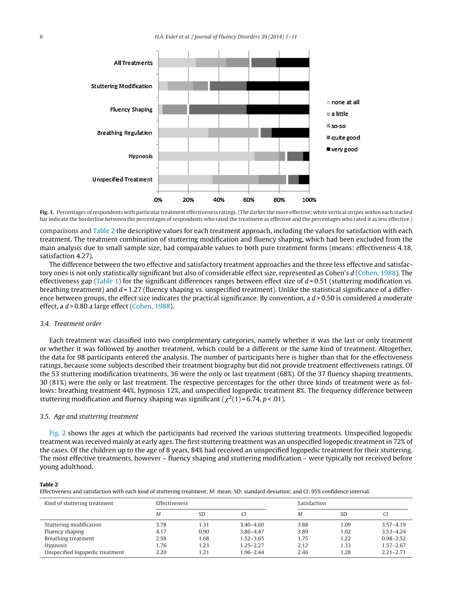<span id="page-5-0"></span>

**Fig. 1.** Percentages of respondents with particular treatment effectiveness ratings.(The darker the more effective; white vertical stripes within each stacked bar indicate the borderline between the percentages of respondents who rated the treatment as effective and the percentages who rated it as less effective.)

comparisons and Table 2 the descriptive values for each treatment approach, including the values for satisfaction with each treatment. The treatment combination of stuttering modification and fluency shaping, which had been excluded from the main analysis due to small sample size, had comparable values to both pure treatment forms (means: effectiveness 4.18, satisfaction 4.27).

The difference between the two effective and satisfactory treatment approaches and the three less effective and satisfac-tory ones is not only statistically significant but also of considerable effect size, represented as Cohen's d [\(Cohen,](#page-10-0) [1988\).](#page-10-0) The effectiveness gap [\(Table](#page-4-0) 1) for the significant differences ranges between effect size of  $d = 0.51$  (stuttering modification vs. breathing treatment) and  $d = 1.27$  (fluency shaping vs. unspecified treatment). Unlike the statistical significance of a difference between groups, the effect size indicates the practical significance. By convention, a  $d > 0.50$  is considered a moderate effect, a  $d > 0.80$  a large effect [\(Cohen,](#page-10-0) [1988\).](#page-10-0)

#### 3.4. Treatment order

Each treatment was classified into two complementary categories, namely whether it was the last or only treatment or whether it was followed by another treatment, which could be a different or the same kind of treatment. Altogether, the data for 98 participants entered the analysis. The number of participants here is higher than that for the effectiveness ratings, because some subjects described their treatment biography but did not provide treatment effectiveness ratings. Of the 53 stuttering modification treatments, 36 were the only or last treatment (68%). Of the 37 fluency shaping treatments, 30 (81%) were the only or last treatment. The respective percentages for the other three kinds of treatment were as follows: breathing treatment 44%, hypnosis 12%, and unspecified logopedic treatment 8%. The frequency difference between stuttering modification and fluency shaping was significant ( $\chi^2(1) = 6.74$ ,  $p < .01$ ).

#### 3.5. Age and stuttering treatment

[Fig.](#page-6-0) 2 shows the ages at which the participants had received the various stuttering treatments. Unspecified logopedic treatment was received mainly at early ages. The first stuttering treatment was an unspecified logopedic treatment in 72% of the cases. Of the children up to the age of 8 years, 84% had received an unspecified logopedic treatment for their stuttering. The most effective treatments, however – fluency shaping and stuttering modification – were typically not received before young adulthood.

#### **Table 2**

Effectiveness and satisfaction with each kind of stuttering treatment; M: mean; SD: standard deviation; and CI: 95% confidence interval.

| Kind of stuttering treatment    | Effectiveness |           |               | Satisfaction |           |               |
|---------------------------------|---------------|-----------|---------------|--------------|-----------|---------------|
|                                 | М             | <b>SD</b> |               | M            | <b>SD</b> |               |
| Stuttering modification         | 3.78          | 1.31      | $3.40 - 4.60$ | 3.88         | 1.09      | $3.57 - 4.19$ |
| Fluency shaping                 | 4.17          | 0.90      | 3.86-4.47     | 3.89         | 1.02      | $3.53 - 4.24$ |
| Breathing treatment             | 2.58          | 1.68      | $1.52 - 3.65$ | 1.75         | 1.22      | $0.98 - 2.52$ |
| Hypnosis                        | 1.76          | 1.23      | $1.25 - 2.27$ | 2.12         | 1.33      | $1.57 - 2.67$ |
| Unspecified logopedic treatment | 2.20          | 1.21      | 1.96-2.44     | 2.46         | 1.28      | $2.21 - 2.71$ |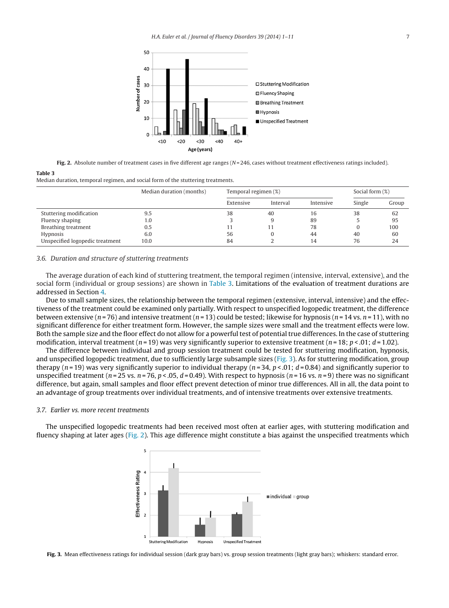<span id="page-6-0"></span>

Fig. 2. Absolute number of treatment cases in five different age ranges (N=246, cases without treatment effectiveness ratings included). **Table 3**

Median duration, temporal regimen, and social form of the stuttering treatments.

|                                 | Median duration (months) | Temporal regimen (%) |          |           | Social form (%) |       |
|---------------------------------|--------------------------|----------------------|----------|-----------|-----------------|-------|
|                                 |                          | Extensive            | Interval | Intensive | Single          | Group |
| Stuttering modification         | 9.5                      | 38                   | 40       | 16        | 38              | 62    |
| Fluency shaping                 | 1.0                      |                      |          | 89        |                 | 95    |
| Breathing treatment             | 0.5                      |                      | 11       | 78        |                 | 100   |
| <b>Hypnosis</b>                 | 6.0                      | 56                   |          | 44        | 40              | 60    |
| Unspecified logopedic treatment | 10.0                     | 84                   |          | 14        | 76              | 24    |

#### 3.6. Duration and structure of stuttering treatments

The average duration of each kind of stuttering treatment, the temporal regimen (intensive, interval, extensive), and the social form (individual or group sessions) are shown in Table 3. Limitations of the evaluation of treatment durations are addressed in Section [4.](#page-7-0)

Due to small sample sizes, the relationship between the temporal regimen (extensive, interval, intensive) and the effectiveness of the treatment could be examined only partially. With respect to unspecified logopedic treatment, the difference between extensive ( $n = 76$ ) and intensive treatment ( $n = 13$ ) could be tested; likewise for hypnosis ( $n = 14$  vs.  $n = 11$ ), with no significant difference for either treatment form. However, the sample sizes were small and the treatment effects were low. Both the sample size and the floor effect do not allow for a powerful test of potential true differences. In the case of stuttering modification, interval treatment ( $n = 19$ ) was very significantly superior to extensive treatment ( $n = 18$ ;  $p < .01$ ;  $d = 1.02$ ).

The difference between individual and group session treatment could be tested for stuttering modification, hypnosis, and unspecified logopedic treatment, due to sufficiently large subsample sizes (Fig. 3). As for stuttering modification, group therapy (n=19) was very significantly superior to individual therapy (n=34, p < 01; d=0.84) and significantly superior to unspecified treatment ( $n = 25$  vs.  $n = 76$ ,  $p < .05$ ,  $d = 0.49$ ). With respect to hypnosis ( $n = 16$  vs.  $n = 9$ ) there was no significant difference, but again, small samples and floor effect prevent detection of minor true differences. All in all, the data point to an advantage of group treatments over individual treatments, and of intensive treatments over extensive treatments.

#### 3.7. Earlier vs. more recent treatments

The unspecified logopedic treatments had been received most often at earlier ages, with stuttering modification and fluency shaping at later ages (Fig. 2). This age difference might constitute a bias against the unspecified treatments which



**Fig. 3.** Mean effectiveness ratings for individual session (dark gray bars) vs. group session treatments (light gray bars); whiskers: standard error.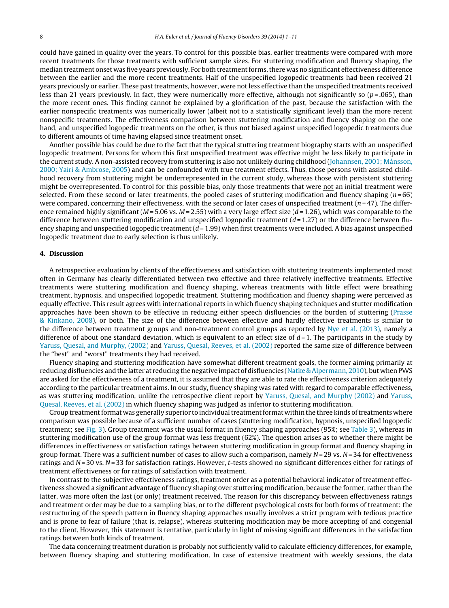<span id="page-7-0"></span>could have gained in quality over the years. To control for this possible bias, earlier treatments were compared with more recent treatments for those treatments with sufficient sample sizes. For stuttering modification and fluency shaping, the median treatment onset was five years previously. For both treatmentforms,there was no significant effectiveness difference between the earlier and the more recent treatments. Half of the unspecified logopedic treatments had been received 21 years previously or earlier. These past treatments, however, were not less effective than the unspecified treatments received less than 21 years previously. In fact, they were numerically more effective, although not significantly so ( $p = .065$ ), than the more recent ones. This finding cannot be explained by a glorification of the past, because the satisfaction with the earlier nonspecific treatments was numerically lower (albeit not to a statistically significant level) than the more recent nonspecific treatments. The effectiveness comparison between stuttering modification and fluency shaping on the one hand, and unspecified logopedic treatments on the other, is thus not biased against unspecified logopedic treatments due to different amounts of time having elapsed since treatment onset.

Another possible bias could be due to the fact that the typical stuttering treatment biography starts with an unspecified logopedic treatment. Persons for whom this first unspecified treatment was effective might be less likely to participate in the current study. A non-assisted recovery from stuttering is also not unlikely during childhood [\(Johannsen,](#page-10-0) [2001;](#page-10-0) [Månsson,](#page-10-0) [2000;](#page-10-0) [Yairi](#page-10-0) [&](#page-10-0) [Ambrose,](#page-10-0) [2005\)](#page-10-0) and can be confounded with true treatment effects. Thus, those persons with assisted childhood recovery from stuttering might be underrepresented in the current study, whereas those with persistent stuttering might be overrepresented. To control for this possible bias, only those treatments that were not an initial treatment were selected. From these second or later treatments, the pooled cases of stuttering modification and fluency shaping  $(n=66)$ were compared, concerning their effectiveness, with the second or later cases of unspecified treatment ( $n = 47$ ). The difference remained highly significant ( $M = 5.06$  vs.  $M = 2.55$ ) with a very large effect size ( $d = 1.26$ ), which was comparable to the difference between stuttering modification and unspecified logopedic treatment  $(d=1.27)$  or the difference between fluency shaping and unspecified logopedic treatment  $(d = 1.99)$  when first treatments were included. A bias against unspecified logopedic treatment due to early selection is thus unlikely.

#### **4. Discussion**

A retrospective evaluation by clients of the effectiveness and satisfaction with stuttering treatments implemented most often in Germany has clearly differentiated between two effective and three relatively ineffective treatments. Effective treatments were stuttering modification and fluency shaping, whereas treatments with little effect were breathing treatment, hypnosis, and unspecified logopedic treatment. Stuttering modification and fluency shaping were perceived as equally effective. This result agrees with international reports in which fluency shaping techniques and stutter modification approaches have been shown to be effective in reducing either speech disfluencies or the burden of stuttering [\(Prasse](#page-10-0) [&](#page-10-0) [Kinkano,](#page-10-0) [2008\),](#page-10-0) or both. The size of the difference between effective and hardly effective treatments is similar to the difference between treatment groups and non-treatment control groups as reported by [Nye](#page-10-0) et [al.](#page-10-0) [\(2013\),](#page-10-0) namely a difference of about one standard deviation, which is equivalent to an effect size of  $d = 1$ . The participants in the study by [Yaruss,](#page-10-0) [Quesal,](#page-10-0) [and](#page-10-0) [Murphy,](#page-10-0) [\(2002\)](#page-10-0) and [Yaruss,](#page-10-0) [Quesal,](#page-10-0) [Reeves,](#page-10-0) et [al.](#page-10-0) [\(2002\)](#page-10-0) reported the same size of difference between the "best" and "worst" treatments they had received.

Fluency shaping and stuttering modification have somewhat different treatment goals, the former aiming primarily at reducing disfluencies and the latter at reducing the negative impact of disfluencies ([Natke](#page-10-0) [&](#page-10-0) [Alpermann,](#page-10-0) [2010\),](#page-10-0) but when PWS are asked for the effectiveness of a treatment, it is assumed that they are able to rate the effectiveness criterion adequately according to the particular treatment aims. In our study, fluency shaping was rated with regard to comparable effectiveness, as was stuttering modification, unlike the retrospective client report by [Yaruss,](#page-10-0) [Quesal,](#page-10-0) [and](#page-10-0) [Murphy](#page-10-0) [\(2002\)](#page-10-0) and [Yaruss,](#page-10-0) [Quesal,](#page-10-0) [Reeves,](#page-10-0) et [al.](#page-10-0) [\(2002\)](#page-10-0) in which fluency shaping was judged as inferior to stuttering modification.

Group treatment format was generally superior to individual treatment format within the three kinds of treatments where comparison was possible because of a sufficient number of cases (stuttering modification, hypnosis, unspecified logopedic treatment; see [Fig.](#page-6-0) 3). Group treatment was the usual format in fluency shaping approaches (95%; see [Table](#page-6-0) 3), whereas in stuttering modification use of the group format was less frequent (62%). The question arises as to whether there might be differences in effectiveness or satisfaction ratings between stuttering modification in group format and fluency shaping in group format. There was a sufficient number of cases to allow such a comparison, namely  $N = 29$  vs.  $N = 34$  for effectiveness ratings and N = 30 vs. N = 33 for satisfaction ratings. However, t-tests showed no significant differences either for ratings of treatment effectiveness or for ratings of satisfaction with treatment.

In contrast to the subjective effectiveness ratings, treatment order as a potential behavioral indicator of treatment effectiveness showed a significant advantage of fluency shaping over stuttering modification, because the former, rather than the latter, was more often the last (or only) treatment received. The reason for this discrepancy between effectiveness ratings and treatment order may be due to a sampling bias, or to the different psychological costs for both forms of treatment: the restructuring of the speech pattern in fluency shaping approaches usually involves a strict program with tedious practice and is prone to fear of failure (that is, relapse), whereas stuttering modification may be more accepting of and congenial to the client. However, this statement is tentative, particularly in light of missing significant differences in the satisfaction ratings between both kinds of treatment.

The data concerning treatment duration is probably not sufficiently valid to calculate efficiency differences, for example, between fluency shaping and stuttering modification. In case of extensive treatment with weekly sessions, the data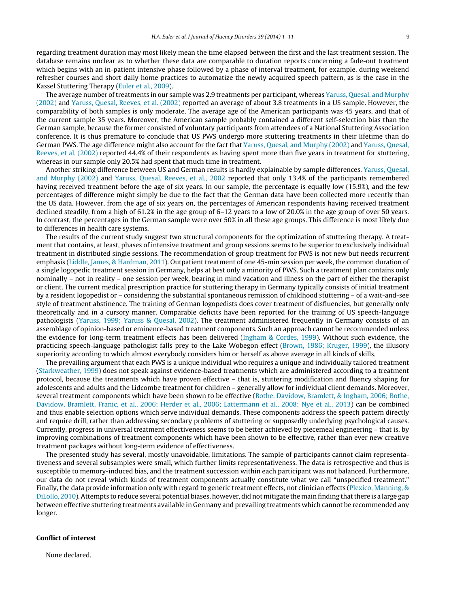regarding treatment duration may most likely mean the time elapsed between the first and the last treatment session. The database remains unclear as to whether these data are comparable to duration reports concerning a fade-out treatment which begins with an in-patient intensive phase followed by a phase of interval treatment, for example, during weekend refresher courses and short daily home practices to automatize the newly acquired speech pattern, as is the case in the Kassel Stuttering Therapy ([Euler](#page-10-0) et [al.,](#page-10-0) [2009\).](#page-10-0)

The average number oftreatments in our sample was 2.9 treatments per participant, whereas [Yaruss,](#page-10-0) [Quesal,](#page-10-0) [and](#page-10-0) [Murphy](#page-10-0) [\(2002\)](#page-10-0) and [Yaruss,](#page-10-0) [Quesal,](#page-10-0) [Reeves,](#page-10-0) et [al.](#page-10-0) [\(2002\)](#page-10-0) reported an average of about 3.8 treatments in a US sample. However, the comparability of both samples is only moderate. The average age of the American participants was 45 years, and that of the current sample 35 years. Moreover, the American sample probably contained a different self-selection bias than the German sample, because the former consisted of voluntary participants from attendees of a National Stuttering Association conference. It is thus premature to conclude that US PWS undergo more stuttering treatments in their lifetime than do German PWS. The age difference might also account for the fact that [Yaruss,](#page-10-0) [Quesal,](#page-10-0) [and](#page-10-0) [Murphy](#page-10-0) [\(2002\)](#page-10-0) and [Yaruss,](#page-10-0) [Quesal,](#page-10-0) [Reeves,](#page-10-0) et [al.](#page-10-0) [\(2002\)](#page-10-0) reported 44.4% of their respondents as having spent more than five years in treatment for stuttering, whereas in our sample only 20.5% had spent that much time in treatment.

Another striking difference between US and German results is hardly explainable by sample differences. [Yaruss,](#page-10-0) [Quesal,](#page-10-0) [and](#page-10-0) [Murphy](#page-10-0) [\(2002\)](#page-10-0) and [Yaruss,](#page-10-0) [Quesal,](#page-10-0) [Reeves,](#page-10-0) et [al.,](#page-10-0) [2002](#page-10-0) reported that only 13.4% of the participants remembered having received treatment before the age of six years. In our sample, the percentage is equally low (15.9%), and the few percentages of difference might simply be due to the fact that the German data have been collected more recently than the US data. However, from the age of six years on, the percentages of American respondents having received treatment declined steadily, from a high of 61.2% in the age group of 6–12 years to a low of 20.0% in the age group of over 50 years. In contrast, the percentages in the German sample were over 50% in all these age groups. This difference is most likely due to differences in health care systems.

The results of the current study suggest two structural components for the optimization of stuttering therapy. A treatment that contains, at least, phases of intensive treatment and group sessions seems to be superior to exclusively individual treatment in distributed single sessions. The recommendation of group treatment for PWS is not new but needs recurrent emphasis [\(Liddle,](#page-10-0) [James,](#page-10-0) [&](#page-10-0) [Hardman,](#page-10-0) [2011\).](#page-10-0) Outpatient treatment of one 45-min session per week, the common duration of a single logopedic treatment session in Germany, helps at best only a minority of PWS. Such a treatment plan contains only nominally – not in reality – one session per week, bearing in mind vacation and illness on the part of either the therapist or client. The current medical prescription practice for stuttering therapy in Germany typically consists of initial treatment by a resident logopedist or – considering the substantial spontaneous remission of childhood stuttering – of a wait-and-see style of treatment abstinence. The training of German logopedists does cover treatment of disfluencies, but generally only theoretically and in a cursory manner. Comparable deficits have been reported for the training of US speech-language pathologists [\(Yaruss,](#page-10-0) [1999;](#page-10-0) [Yaruss](#page-10-0) [&](#page-10-0) [Quesal,](#page-10-0) [2002\).](#page-10-0) The treatment administered frequently in Germany consists of an assemblage of opinion-based or eminence-based treatment components. Such an approach cannot be recommended unless the evidence for long-term treatment effects has been delivered ([Ingham](#page-10-0) [&](#page-10-0) [Cordes,](#page-10-0) [1999\).](#page-10-0) Without such evidence, the practicing speech-language pathologist falls prey to the Lake Wobegon effect [\(Brown,](#page-10-0) [1986;](#page-10-0) [Kruger,](#page-10-0) [1999\),](#page-10-0) the illusory superiority according to which almost everybody considers him or herself as above average in all kinds of skills.

The prevailing argument that each PWS is a unique individual who requires a unique and individually tailored treatment [\(Starkweather,](#page-10-0) [1999\)](#page-10-0) does not speak against evidence-based treatments which are administered according to a treatment protocol, because the treatments which have proven effective – that is, stuttering modification and fluency shaping for adolescents and adults and the Lidcombe treatment for children – generally allow for individual client demands. Moreover, several treatment components which have been shown to be effective [\(Bothe,](#page-10-0) [Davidow,](#page-10-0) [Bramlett,](#page-10-0) [&](#page-10-0) [Ingham,](#page-10-0) [2006;](#page-10-0) [Bothe,](#page-10-0) [Davidow,](#page-10-0) [Bramlett,](#page-10-0) [Franic,](#page-10-0) et [al.,](#page-10-0) [2006;](#page-10-0) [Herder](#page-10-0) et [al.,](#page-10-0) [2006;](#page-10-0) [Lattermann](#page-10-0) et [al.,](#page-10-0) [2008;](#page-10-0) [Nye](#page-10-0) et [al.,](#page-10-0) [2013\)](#page-10-0) can be combined and thus enable selection options which serve individual demands. These components address the speech pattern directly and require drill, rather than addressing secondary problems of stuttering or supposedly underlying psychological causes. Currently, progress in universal treatment effectiveness seems to be better achieved by piecemeal engineering – that is, by improving combinations of treatment components which have been shown to be effective, rather than ever new creative treatment packages without long-term evidence of effectiveness.

The presented study has several, mostly unavoidable, limitations. The sample of participants cannot claim representativeness and several subsamples were small, which further limits representativeness. The data is retrospective and thus is susceptible to memory-induced bias, and the treatment succession within each participant was not balanced. Furthermore, our data do not reveal which kinds of treatment components actually constitute what we call "unspecified treatment." Finally, the data provide information only with regard to generic treatment effects, not clinician effects ([Plexico,](#page-10-0) [Manning,](#page-10-0) [&](#page-10-0) [DiLollo,](#page-10-0) [2010\).](#page-10-0)Attempts to reduce several potential biases, however, did not mitigate the main finding thatthere is a large gap between effective stuttering treatments available in Germany and prevailing treatments which cannot be recommended any longer.

#### **Conflict of interest**

None declared.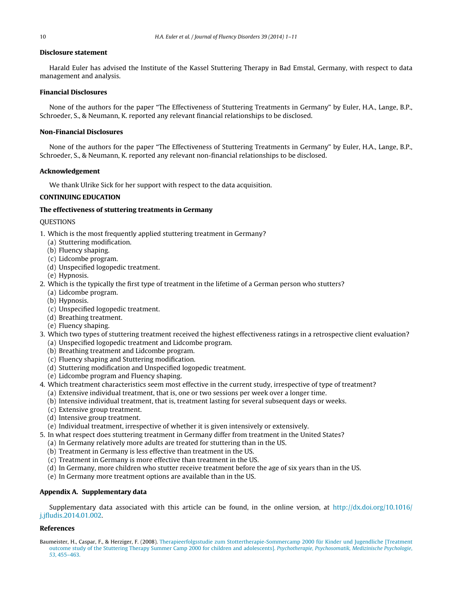# <span id="page-9-0"></span>**Disclosure statement**

Harald Euler has advised the Institute of the Kassel Stuttering Therapy in Bad Emstal, Germany, with respect to data management and analysis.

#### **Financial Disclosures**

None of the authors for the paper "The Effectiveness of Stuttering Treatments in Germany" by Euler, H.A., Lange, B.P., Schroeder, S., & Neumann, K. reported any relevant financial relationships to be disclosed.

#### **Non-Financial Disclosures**

None of the authors for the paper "The Effectiveness of Stuttering Treatments in Germany" by Euler, H.A., Lange, B.P., Schroeder, S., & Neumann, K. reported any relevant non-financial relationships to be disclosed.

#### **Acknowledgement**

We thank Ulrike Sick for her support with respect to the data acquisition.

# **CONTINUING EDUCATION**

# **The effectiveness of stuttering treatments in Germany**

#### QUESTIONS

- 1. Which is the most frequently applied stuttering treatment in Germany?
	- (a) Stuttering modification.
	- (b) Fluency shaping.
	- (c) Lidcombe program.
	- (d) Unspecified logopedic treatment.
	- (e) Hypnosis.
- 2. Which is the typically the first type of treatment in the lifetime of a German person who stutters?
	- (a) Lidcombe program.
	- (b) Hypnosis.
	- (c) Unspecified logopedic treatment.
	- (d) Breathing treatment.
	- (e) Fluency shaping.
- 3. Which two types of stuttering treatment received the highest effectiveness ratings in a retrospective client evaluation?
	- (a) Unspecified logopedic treatment and Lidcombe program.
	- (b) Breathing treatment and Lidcombe program.
	- (c) Fluency shaping and Stuttering modification.
	- (d) Stuttering modification and Unspecified logopedic treatment.
	- (e) Lidcombe program and Fluency shaping.
- 4. Which treatment characteristics seem most effective in the current study, irrespective of type of treatment?
	- (a) Extensive individual treatment, that is, one or two sessions per week over a longer time.
	- (b) Intensive individual treatment, that is, treatment lasting for several subsequent days or weeks.
	- (c) Extensive group treatment.
	- (d) Intensive group treatment.
	- (e) Individual treatment, irrespective of whether it is given intensively or extensively.
- 5. In what respect does stuttering treatment in Germany differ from treatment in the United States?
	- (a) In Germany relatively more adults are treated for stuttering than in the US.
	- (b) Treatment in Germany is less effective than treatment in the US.
	- (c) Treatment in Germany is more effective than treatment in the US.
	- (d) In Germany, more children who stutter receive treatment before the age of six years than in the US.
	- (e) In Germany more treatment options are available than in the US.

#### **Appendix A. Supplementary data**

Supplementary data associated with this article can be found, in the online version, at [http://dx.doi.org/10.1016/](http://dx.doi.org/10.1016/j.jfludis.2014.01.002) [j.jfludis.2014.01.002](http://dx.doi.org/10.1016/j.jfludis.2014.01.002).

### **References**

Baumeister, H., Caspar, F., & Herziger, F. (2008). [Therapieerfolgsstudie](http://refhub.elsevier.com/S0094-730X(14)00003-5/sbref0005) [zum](http://refhub.elsevier.com/S0094-730X(14)00003-5/sbref0005) [Stottertherapie-Sommercamp](http://refhub.elsevier.com/S0094-730X(14)00003-5/sbref0005) [2000](http://refhub.elsevier.com/S0094-730X(14)00003-5/sbref0005) [für](http://refhub.elsevier.com/S0094-730X(14)00003-5/sbref0005) [Kinder](http://refhub.elsevier.com/S0094-730X(14)00003-5/sbref0005) [und](http://refhub.elsevier.com/S0094-730X(14)00003-5/sbref0005) [Jugendliche](http://refhub.elsevier.com/S0094-730X(14)00003-5/sbref0005) [\[Treatment](http://refhub.elsevier.com/S0094-730X(14)00003-5/sbref0005) [outcome](http://refhub.elsevier.com/S0094-730X(14)00003-5/sbref0005) [study](http://refhub.elsevier.com/S0094-730X(14)00003-5/sbref0005) [of](http://refhub.elsevier.com/S0094-730X(14)00003-5/sbref0005) [the](http://refhub.elsevier.com/S0094-730X(14)00003-5/sbref0005) [Stuttering](http://refhub.elsevier.com/S0094-730X(14)00003-5/sbref0005) [Therapy](http://refhub.elsevier.com/S0094-730X(14)00003-5/sbref0005) [Summer](http://refhub.elsevier.com/S0094-730X(14)00003-5/sbref0005) [Camp](http://refhub.elsevier.com/S0094-730X(14)00003-5/sbref0005) [2000](http://refhub.elsevier.com/S0094-730X(14)00003-5/sbref0005) [for](http://refhub.elsevier.com/S0094-730X(14)00003-5/sbref0005) [children](http://refhub.elsevier.com/S0094-730X(14)00003-5/sbref0005) [and](http://refhub.elsevier.com/S0094-730X(14)00003-5/sbref0005) [adolescents\].](http://refhub.elsevier.com/S0094-730X(14)00003-5/sbref0005) [Psychotherapie,](http://refhub.elsevier.com/S0094-730X(14)00003-5/sbref0005) [Psychosomatik,](http://refhub.elsevier.com/S0094-730X(14)00003-5/sbref0005) [Medizinische](http://refhub.elsevier.com/S0094-730X(14)00003-5/sbref0005) [Psychologie](http://refhub.elsevier.com/S0094-730X(14)00003-5/sbref0005)[,](http://refhub.elsevier.com/S0094-730X(14)00003-5/sbref0005) [53](http://refhub.elsevier.com/S0094-730X(14)00003-5/sbref0005)[,](http://refhub.elsevier.com/S0094-730X(14)00003-5/sbref0005) [455–463.](http://refhub.elsevier.com/S0094-730X(14)00003-5/sbref0005)